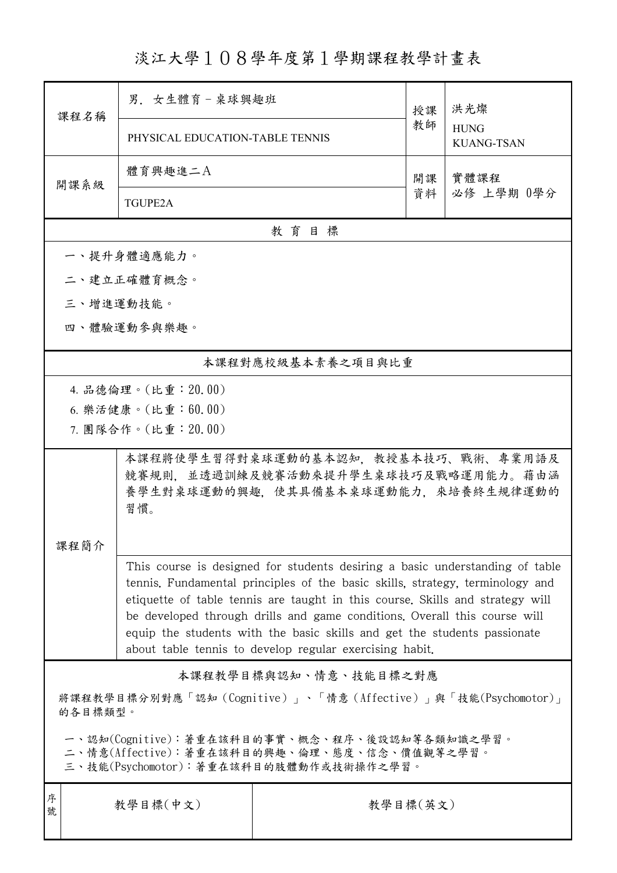淡江大學108學年度第1學期課程教學計畫表

| 課程名稱                                                                                                                                   | 男. 女生體育-桌球興趣班                                                                                                                                                                                                                                                                                                                                                                                                                                                      |                   | 授課 | 洪光燦                              |  |  |  |
|----------------------------------------------------------------------------------------------------------------------------------------|--------------------------------------------------------------------------------------------------------------------------------------------------------------------------------------------------------------------------------------------------------------------------------------------------------------------------------------------------------------------------------------------------------------------------------------------------------------------|-------------------|----|----------------------------------|--|--|--|
|                                                                                                                                        | PHYSICAL EDUCATION-TABLE TENNIS                                                                                                                                                                                                                                                                                                                                                                                                                                    |                   | 教師 | <b>HUNG</b><br><b>KUANG-TSAN</b> |  |  |  |
| 開課系級                                                                                                                                   | 體育興趣進二A                                                                                                                                                                                                                                                                                                                                                                                                                                                            |                   | 開課 | 實體課程<br>必修 上學期 0學分               |  |  |  |
|                                                                                                                                        | <b>TGUPE2A</b>                                                                                                                                                                                                                                                                                                                                                                                                                                                     |                   | 資料 |                                  |  |  |  |
|                                                                                                                                        |                                                                                                                                                                                                                                                                                                                                                                                                                                                                    | 教育目標              |    |                                  |  |  |  |
|                                                                                                                                        | 一、提升身體適應能力。                                                                                                                                                                                                                                                                                                                                                                                                                                                        |                   |    |                                  |  |  |  |
|                                                                                                                                        | 二、建立正確體育概念。                                                                                                                                                                                                                                                                                                                                                                                                                                                        |                   |    |                                  |  |  |  |
|                                                                                                                                        | 三、增進運動技能。                                                                                                                                                                                                                                                                                                                                                                                                                                                          |                   |    |                                  |  |  |  |
|                                                                                                                                        | 四、體驗運動參與樂趣。                                                                                                                                                                                                                                                                                                                                                                                                                                                        |                   |    |                                  |  |  |  |
|                                                                                                                                        |                                                                                                                                                                                                                                                                                                                                                                                                                                                                    | 本課程對應校級基本素養之項目與比重 |    |                                  |  |  |  |
|                                                                                                                                        | 4. 品德倫理。(比重: 20.00)                                                                                                                                                                                                                                                                                                                                                                                                                                                |                   |    |                                  |  |  |  |
|                                                                                                                                        | 6. 樂活健康。(比重:60.00)                                                                                                                                                                                                                                                                                                                                                                                                                                                 |                   |    |                                  |  |  |  |
|                                                                                                                                        | 7. 團隊合作。(比重:20.00)                                                                                                                                                                                                                                                                                                                                                                                                                                                 |                   |    |                                  |  |  |  |
|                                                                                                                                        | 本課程將使學生習得對桌球運動的基本認知,教授基本技巧、戰術、專業用語及<br>競賽規則,並透過訓練及競賽活動來提升學生桌球技巧及戰略運用能力。藉由涵<br>養學生對桌球運動的興趣,使其具備基本桌球運動能力,來培養終生規律運動的<br>習慣。                                                                                                                                                                                                                                                                                                                                           |                   |    |                                  |  |  |  |
| 课程简介                                                                                                                                   |                                                                                                                                                                                                                                                                                                                                                                                                                                                                    |                   |    |                                  |  |  |  |
|                                                                                                                                        | This course is designed for students desiring a basic understanding of table<br>tennis. Fundamental principles of the basic skills, strategy, terminology and<br>etiquette of table tennis are taught in this course. Skills and strategy will<br>be developed through drills and game conditions. Overall this course will<br>equip the students with the basic skills and get the students passionate<br>about table tennis to develop regular exercising habit. |                   |    |                                  |  |  |  |
| 本課程教學目標與認知、情意、技能目標之對應                                                                                                                  |                                                                                                                                                                                                                                                                                                                                                                                                                                                                    |                   |    |                                  |  |  |  |
| 將課程教學目標分別對應「認知 (Cognitive)」、「情意 (Affective)」與「技能(Psychomotor)」<br>的各目標類型。                                                              |                                                                                                                                                                                                                                                                                                                                                                                                                                                                    |                   |    |                                  |  |  |  |
| 一、認知(Cognitive):著重在該科目的事實、概念、程序、後設認知等各類知識之學習。<br>二、情意(Affective):著重在該科目的興趣、倫理、態度、信念、價值觀等之學習。<br>三、技能(Psychomotor):著重在該科目的肢體動作或技術操作之學習。 |                                                                                                                                                                                                                                                                                                                                                                                                                                                                    |                   |    |                                  |  |  |  |
| 序<br>號                                                                                                                                 | 教學目標(中文)<br>教學目標(英文)                                                                                                                                                                                                                                                                                                                                                                                                                                               |                   |    |                                  |  |  |  |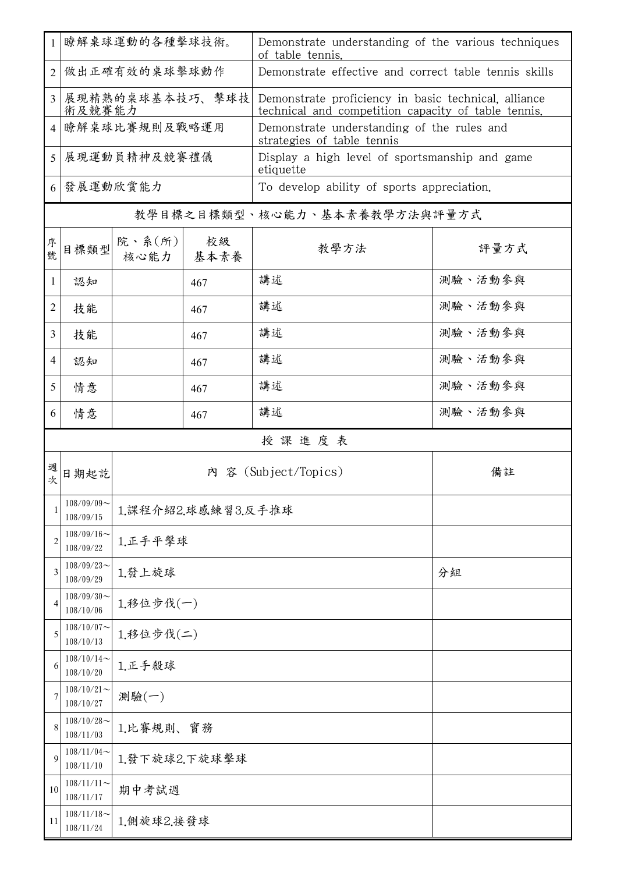| -1             | 瞭解桌球運動的各種擊球技術。                |                    |            | Demonstrate understanding of the various techniques<br>of table tennis.                                     |         |  |  |
|----------------|-------------------------------|--------------------|------------|-------------------------------------------------------------------------------------------------------------|---------|--|--|
| $\overline{2}$ | 做出正確有效的桌球擊球動作                 |                    |            | Demonstrate effective and correct table tennis skills                                                       |         |  |  |
| 3              | 展現精熟的桌球基本技巧、擊球技<br>術及競賽能力     |                    |            | Demonstrate proficiency in basic technical, alliance<br>technical and competition capacity of table tennis. |         |  |  |
| 4              | 瞭解桌球比賽規則及戰略運用                 |                    |            | Demonstrate understanding of the rules and<br>strategies of table tennis                                    |         |  |  |
| 5              | 展現運動員精神及競賽禮儀                  |                    |            | Display a high level of sportsmanship and game<br>etiquette                                                 |         |  |  |
| 6              | 發展運動欣賞能力                      |                    |            | To develop ability of sports appreciation.                                                                  |         |  |  |
|                | 教學目標之目標類型、核心能力、基本素養教學方法與評量方式  |                    |            |                                                                                                             |         |  |  |
| 序號             | 目標類型                          | 院、系(所)<br>核心能力     | 校級<br>基本素養 | 教學方法                                                                                                        | 評量方式    |  |  |
| 1              | 認知                            |                    | 467        | 講述                                                                                                          | 測驗、活動參與 |  |  |
| $\overline{2}$ | 技能                            |                    | 467        | 講述                                                                                                          | 測驗、活動參與 |  |  |
| 3              | 技能                            |                    | 467        | 講述                                                                                                          | 測驗、活動參與 |  |  |
| 4              | 認知                            |                    | 467        | 講述                                                                                                          | 測驗、活動參與 |  |  |
| 5              | 情意                            |                    | 467        | 講述                                                                                                          | 測驗、活動參與 |  |  |
| 6              | 情意                            |                    | 467        | 講述                                                                                                          | 測驗、活動參與 |  |  |
|                |                               |                    |            | 授課進度表                                                                                                       |         |  |  |
| 週次             | 日期起訖                          |                    |            | 內 容 (Subject/Topics)                                                                                        | 備註      |  |  |
|                | $108/09/09$ ~<br>108/09/15    | 1.課程介紹2.球感練習3.反手推球 |            |                                                                                                             |         |  |  |
| 2              | $108/09/16 \sim$<br>108/09/22 | 1.正手平擊球            |            |                                                                                                             |         |  |  |
| 3              | $108/09/23$ ~<br>108/09/29    | 1.發上旋球             |            |                                                                                                             | 分組      |  |  |
| 4              | $108/09/30$ ~<br>108/10/06    | 1.移位步伐(一)          |            |                                                                                                             |         |  |  |
| 5              | $108/10/07$ ~<br>108/10/13    | 1.移位步伐(二)          |            |                                                                                                             |         |  |  |
| 6              | $108/10/14$ ~<br>108/10/20    | 1.正手殺球             |            |                                                                                                             |         |  |  |
| 7              | $108/10/21$ ~<br>108/10/27    | 測驗(一)              |            |                                                                                                             |         |  |  |
| 8              | $108/10/28$ ~<br>108/11/03    | 1.比賽規則、實務          |            |                                                                                                             |         |  |  |
| 9              | $108/11/04$ ~<br>108/11/10    | 1.發下旋球2.下旋球擊球      |            |                                                                                                             |         |  |  |
| 10             | $108/11/11$ ~<br>108/11/17    | 期中考試週              |            |                                                                                                             |         |  |  |
| 11             | $108/11/18$ ~<br>108/11/24    | 1.側旋球2.接發球         |            |                                                                                                             |         |  |  |